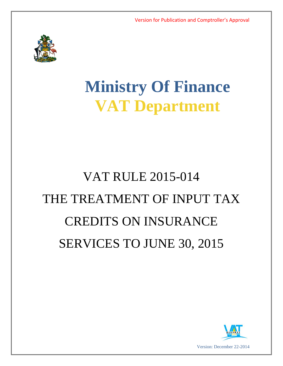

## **Ministry Of Finance VAT Department**

# VAT RULE 2015-014 THE TREATMENT OF INPUT TAX CREDITS ON INSURANCE SERVICES TO JUNE 30, 2015

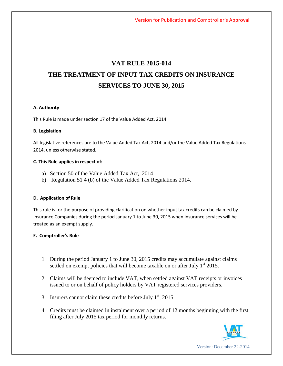### **VAT RULE 2015-014 THE TREATMENT OF INPUT TAX CREDITS ON INSURANCE SERVICES TO JUNE 30, 2015**

#### **A. Authority**

This Rule is made under section 17 of the Value Added Act, 2014.

#### **B. Legislation**

All legislative references are to the Value Added Tax Act, 2014 and/or the Value Added Tax Regulations 2014, unless otherwise stated.

#### **C. This Rule applies in respect of:**

- a) Section 50 of the Value Added Tax Act, 2014
- b) Regulation 51 4 (b) of the Value Added Tax Regulations 2014.

#### **D. Application of Rule**

This rule is for the purpose of providing clarification on whether input tax credits can be claimed by Insurance Companies during the period January 1 to June 30, 2015 when insurance services will be treated as an exempt supply.

#### **E. Comptroller's Rule**

- 1. During the period January 1 to June 30, 2015 credits may accumulate against claims settled on exempt policies that will become taxable on or after July  $1<sup>st</sup> 2015$ .
- 2. Claims will be deemed to include VAT, when settled against VAT receipts or invoices issued to or on behalf of policy holders by VAT registered services providers.
- 3. Insurers cannot claim these credits before July  $1<sup>st</sup>$ , 2015.
- 4. Credits must be claimed in instalment over a period of 12 months beginning with the first filing after July 2015 tax period for monthly returns.